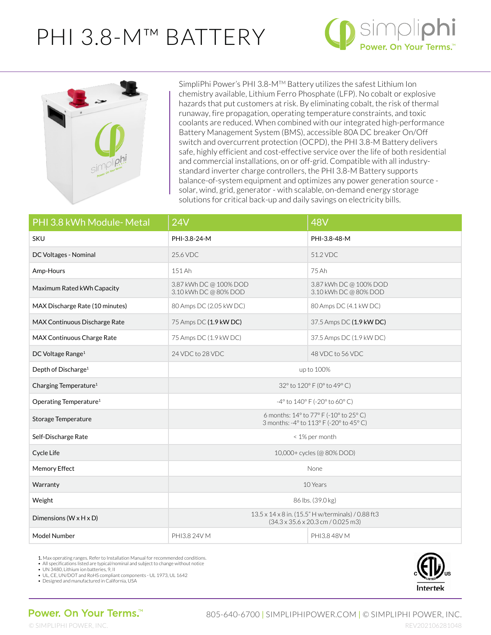## PHI 3.8-M™ BATTERY





SimpliPhi Power's PHI 3.8-MTM Battery utilizes the safest Lithium Ion chemistry available, Lithium Ferro Phosphate (LFP). No cobalt or explosive hazards that put customers at risk. By eliminating cobalt, the risk of thermal runaway, fire propagation, operating temperature constraints, and toxic coolants are reduced. When combined with our integrated high-performance Battery Management System (BMS), accessible 80A DC breaker On/Off switch and overcurrent protection (OCPD), the PHI 3.8-M Battery delivers safe, highly efficient and cost-effective service over the life of both residential and commercial installations, on or off-grid. Compatible with all industrystandard inverter charge controllers, the PHI 3.8-M Battery supports balance-of-system equipment and optimizes any power generation source solar, wind, grid, generator - with scalable, on-demand energy storage solutions for critical back-up and daily savings on electricity bills.

| PHI 3.8 kWh Module- Metal            | 24V                                                                                                                   | 48V                                             |
|--------------------------------------|-----------------------------------------------------------------------------------------------------------------------|-------------------------------------------------|
| <b>SKU</b>                           | PHI-3.8-24-M                                                                                                          | PHI-3.8-48-M                                    |
| DC Voltages - Nominal                | 25.6 VDC                                                                                                              | 51.2 VDC                                        |
| Amp-Hours                            | 151 Ah                                                                                                                | 75 Ah                                           |
| Maximum Rated kWh Capacity           | 3.87 kWh DC @ 100% DOD<br>3.10 kWh DC @ 80% DOD                                                                       | 3.87 kWh DC @ 100% DOD<br>3.10 kWh DC @ 80% DOD |
| MAX Discharge Rate (10 minutes)      | 80 Amps DC (2.05 kW DC)                                                                                               | 80 Amps DC (4.1 kW DC)                          |
| MAX Continuous Discharge Rate        | 75 Amps DC (1.9 kW DC)                                                                                                | 37.5 Amps DC (1.9 kW DC)                        |
| MAX Continuous Charge Rate           | 75 Amps DC (1.9 kW DC)                                                                                                | 37.5 Amps DC (1.9 kW DC)                        |
| DC Voltage Range <sup>1</sup>        | 24 VDC to 28 VDC                                                                                                      | 48 VDC to 56 VDC                                |
| Depth of Discharge <sup>1</sup>      | up to 100%                                                                                                            |                                                 |
| Charging Temperature <sup>1</sup>    | 32° to 120° F (0° to 49° C)                                                                                           |                                                 |
| Operating Temperature <sup>1</sup>   | -4° to 140° F (-20° to 60° C)                                                                                         |                                                 |
| Storage Temperature                  | 6 months: 14° to 77° F (-10° to 25° C)<br>3 months: -4° to 113° F (-20° to 45° C)                                     |                                                 |
| Self-Discharge Rate                  | < 1% per month                                                                                                        |                                                 |
| Cycle Life                           | 10,000+ cycles (@ 80% DOD)                                                                                            |                                                 |
| Memory Effect                        | <b>None</b>                                                                                                           |                                                 |
| Warranty                             | 10 Years                                                                                                              |                                                 |
| Weight                               | 86 lbs. (39.0 kg)                                                                                                     |                                                 |
| Dimensions ( $W \times H \times D$ ) | 13.5 x 14 x 8 in. (15.5" H w/terminals) / 0.88 ft3<br>$(34.3 \times 35.6 \times 20.3 \text{ cm} / 0.025 \text{ m}$ 3) |                                                 |
| Model Number                         | PHI3.8 24V M                                                                                                          | PHI3.8 48V M                                    |

1. Max operating ranges. Refer to Installation Manual for recommended conditions.

• All specifications listed are typical/nominal and subject to change without notice • UN 3480, Lithium ion batteries, 9, II

• UL, CE, UN/DOT and RoHS compliant components - UL 1973, UL 1642 • Designed and manufactured in California, USA

Intertek